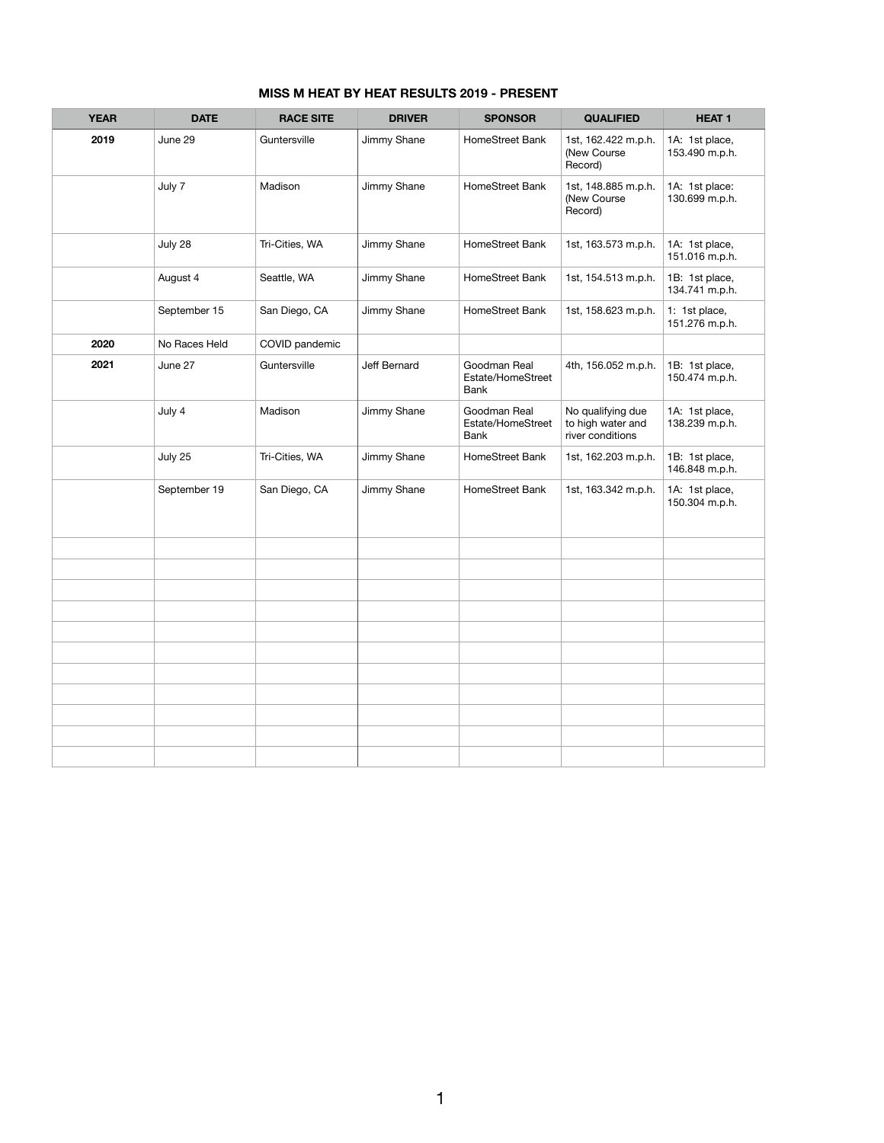| <b>MISS M HEAT BY HEAT RESULTS 2019 - PRESENT</b> |
|---------------------------------------------------|
|---------------------------------------------------|

| <b>YEAR</b> | <b>DATE</b>   | <b>RACE SITE</b> | <b>DRIVER</b> | <b>SPONSOR</b>                                   | <b>QUALIFIED</b>                                           | <b>HEAT1</b>                     |
|-------------|---------------|------------------|---------------|--------------------------------------------------|------------------------------------------------------------|----------------------------------|
| 2019        | June 29       | Guntersville     | Jimmy Shane   | HomeStreet Bank                                  | 1st, 162.422 m.p.h.<br>(New Course<br>Record)              | 1A: 1st place,<br>153.490 m.p.h. |
|             | July 7        | Madison          | Jimmy Shane   | HomeStreet Bank                                  | 1st, 148.885 m.p.h.<br>(New Course<br>Record)              | 1A: 1st place:<br>130.699 m.p.h. |
|             | July 28       | Tri-Cities, WA   | Jimmy Shane   | HomeStreet Bank                                  | 1st, 163.573 m.p.h.                                        | 1A: 1st place,<br>151.016 m.p.h. |
|             | August 4      | Seattle, WA      | Jimmy Shane   | HomeStreet Bank                                  | 1st, 154.513 m.p.h.                                        | 1B: 1st place,<br>134.741 m.p.h. |
|             | September 15  | San Diego, CA    | Jimmy Shane   | HomeStreet Bank                                  | 1st, 158.623 m.p.h.                                        | 1: 1st place,<br>151.276 m.p.h.  |
| 2020        | No Races Held | COVID pandemic   |               |                                                  |                                                            |                                  |
| 2021        | June 27       | Guntersville     | Jeff Bernard  | Goodman Real<br>Estate/HomeStreet<br><b>Bank</b> | 4th, 156.052 m.p.h.                                        | 1B: 1st place,<br>150.474 m.p.h. |
|             | July 4        | Madison          | Jimmy Shane   | Goodman Real<br>Estate/HomeStreet<br>Bank        | No qualifying due<br>to high water and<br>river conditions | 1A: 1st place,<br>138.239 m.p.h. |
|             | July 25       | Tri-Cities, WA   | Jimmy Shane   | HomeStreet Bank                                  | 1st, 162.203 m.p.h.                                        | 1B: 1st place,<br>146.848 m.p.h. |
|             | September 19  | San Diego, CA    | Jimmy Shane   | HomeStreet Bank                                  | 1st, 163.342 m.p.h.                                        | 1A: 1st place,<br>150.304 m.p.h. |
|             |               |                  |               |                                                  |                                                            |                                  |
|             |               |                  |               |                                                  |                                                            |                                  |
|             |               |                  |               |                                                  |                                                            |                                  |
|             |               |                  |               |                                                  |                                                            |                                  |
|             |               |                  |               |                                                  |                                                            |                                  |
|             |               |                  |               |                                                  |                                                            |                                  |
|             |               |                  |               |                                                  |                                                            |                                  |
|             |               |                  |               |                                                  |                                                            |                                  |
|             |               |                  |               |                                                  |                                                            |                                  |
|             |               |                  |               |                                                  |                                                            |                                  |
|             |               |                  |               |                                                  |                                                            |                                  |